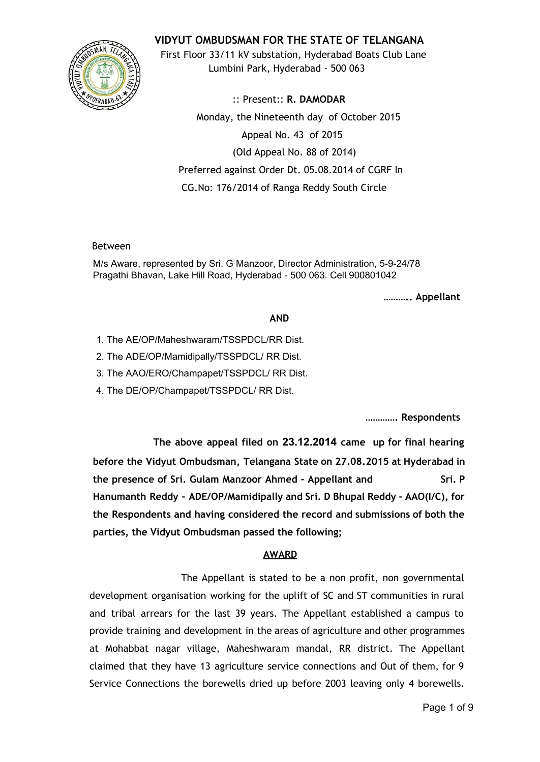

**VIDYUT OMBUDSMAN FOR THE STATE OF TELANGANA**

First Floor 33/11 kV substation, Hyderabad Boats Club Lane Lumbini Park, Hyderabad - 500 063

:: Present:: **R. DAMODAR** Monday, the Nineteenth day of October 2015 Appeal No. 43 of 2015 (Old Appeal No. 88 of 2014) Preferred against Order Dt. 05.08.2014 of CGRF In CG.No: 176/2014 of Ranga Reddy South Circle

# Between

M/s Aware, represented by Sri. G Manzoor, Director Administration, 5-9-24/78 Pragathi Bhavan, Lake Hill Road, Hyderabad - 500 063. Cell 900801042

**……….. Appellant**

# **AND**

- 1. The AE/OP/Maheshwaram/TSSPDCL/RR Dist.
- 2. The ADE/OP/Mamidipally/TSSPDCL/ RR Dist.
- 3. The AAO/ERO/Champapet/TSSPDCL/ RR Dist.
- 4. The DE/OP/Champapet/TSSPDCL/ RR Dist.

**…………. Respondents**

**The above appeal filed on 23.12.2014 came up for final hearing before the Vidyut Ombudsman, Telangana State on 27.08.2015 at Hyderabad in the presence of Sri. Gulam Manzoor Ahmed - Appellant and Sri. P Hanumanth Reddy - ADE/OP/Mamidipally and Sri. D Bhupal Reddy - AAO(I/C), for the Respondents and having considered the record and submissions of both the parties, the Vidyut Ombudsman passed the following;**

# **AWARD**

The Appellant is stated to be a non profit, non governmental development organisation working for the uplift of SC and ST communities in rural and tribal arrears for the last 39 years. The Appellant established a campus to provide training and development in the areas of agriculture and other programmes at Mohabbat nagar village, Maheshwaram mandal, RR district. The Appellant claimed that they have 13 agriculture service connections and Out of them, for 9 Service Connections the borewells dried up before 2003 leaving only 4 borewells.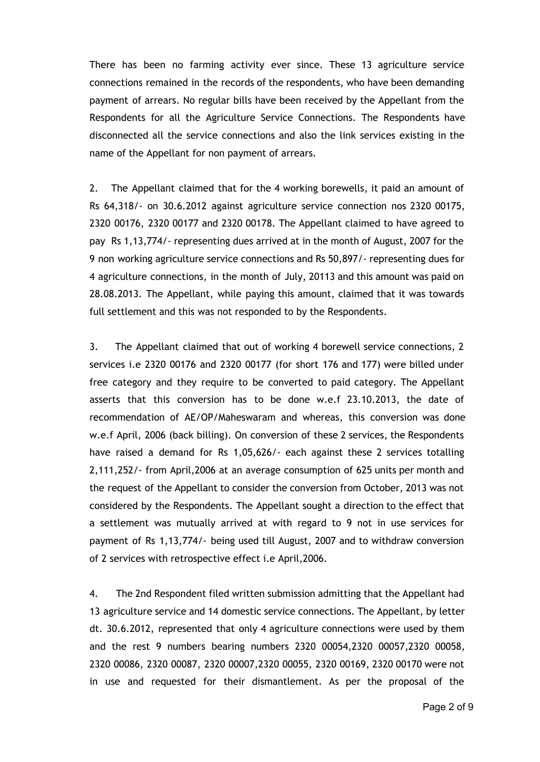There has been no farming activity ever since. These 13 agriculture service connections remained in the records of the respondents, who have been demanding payment of arrears. No regular bills have been received by the Appellant from the Respondents for all the Agriculture Service Connections. The Respondents have disconnected all the service connections and also the link services existing in the name of the Appellant for non payment of arrears.

2. The Appellant claimed that for the 4 working borewells, it paid an amount of Rs 64,318/- on 30.6.2012 against agriculture service connection nos 2320 00175, 2320 00176, 2320 00177 and 2320 00178. The Appellant claimed to have agreed to pay Rs 1,13,774/- representing dues arrived at in the month of August, 2007 for the 9 non working agriculture service connections and Rs 50,897/- representing dues for 4 agriculture connections, in the month of July, 20113 and this amount was paid on 28.08.2013. The Appellant, while paying this amount, claimed that it was towards full settlement and this was not responded to by the Respondents.

3. The Appellant claimed that out of working 4 borewell service connections, 2 services i.e 2320 00176 and 2320 00177 (for short 176 and 177) were billed under free category and they require to be converted to paid category. The Appellant asserts that this conversion has to be done w.e.f 23.10.2013, the date of recommendation of AE/OP/Maheswaram and whereas, this conversion was done w.e.f April, 2006 (back billing). On conversion of these 2 services, the Respondents have raised a demand for Rs 1,05,626/- each against these 2 services totalling 2,111,252/- from April,2006 at an average consumption of 625 units per month and the request of the Appellant to consider the conversion from October, 2013 was not considered by the Respondents. The Appellant sought a direction to the effect that a settlement was mutually arrived at with regard to 9 not in use services for payment of Rs 1,13,774/- being used till August, 2007 and to withdraw conversion of 2 services with retrospective effect i.e April,2006.

4. The 2nd Respondent filed written submission admitting that the Appellant had 13 agriculture service and 14 domestic service connections. The Appellant, by letter dt. 30.6.2012, represented that only 4 agriculture connections were used by them and the rest 9 numbers bearing numbers 2320 00054,2320 00057,2320 00058, 2320 00086, 2320 00087, 2320 00007,2320 00055, 2320 00169, 2320 00170 were not in use and requested for their dismantlement. As per the proposal of the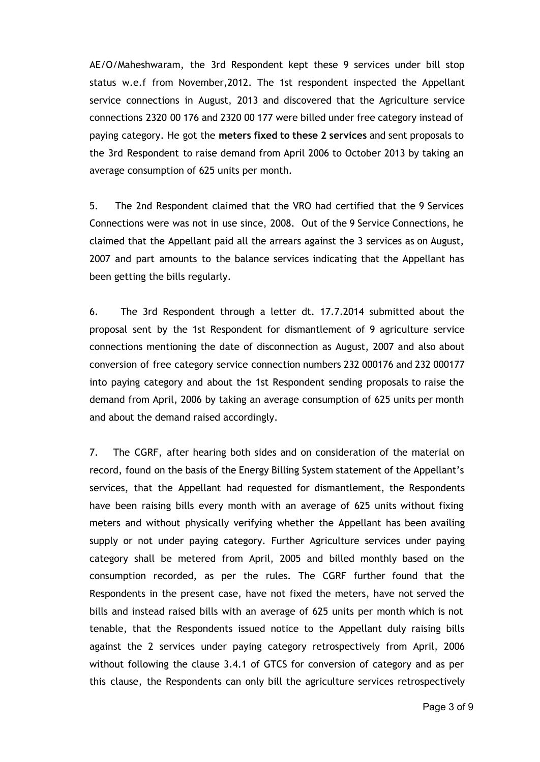AE/O/Maheshwaram, the 3rd Respondent kept these 9 services under bill stop status w.e.f from November,2012. The 1st respondent inspected the Appellant service connections in August, 2013 and discovered that the Agriculture service connections 2320 00 176 and 2320 00 177 were billed under free category instead of paying category. He got the **meters fixed to these 2 services** and sent proposals to the 3rd Respondent to raise demand from April 2006 to October 2013 by taking an average consumption of 625 units per month.

5. The 2nd Respondent claimed that the VRO had certified that the 9 Services Connections were was not in use since, 2008. Out of the 9 Service Connections, he claimed that the Appellant paid all the arrears against the 3 services as on August, 2007 and part amounts to the balance services indicating that the Appellant has been getting the bills regularly.

6. The 3rd Respondent through a letter dt. 17.7.2014 submitted about the proposal sent by the 1st Respondent for dismantlement of 9 agriculture service connections mentioning the date of disconnection as August, 2007 and also about conversion of free category service connection numbers 232 000176 and 232 000177 into paying category and about the 1st Respondent sending proposals to raise the demand from April, 2006 by taking an average consumption of 625 units per month and about the demand raised accordingly.

7. The CGRF, after hearing both sides and on consideration of the material on record, found on the basis of the Energy Billing System statement of the Appellant's services, that the Appellant had requested for dismantlement, the Respondents have been raising bills every month with an average of 625 units without fixing meters and without physically verifying whether the Appellant has been availing supply or not under paying category. Further Agriculture services under paying category shall be metered from April, 2005 and billed monthly based on the consumption recorded, as per the rules. The CGRF further found that the Respondents in the present case, have not fixed the meters, have not served the bills and instead raised bills with an average of 625 units per month which is not tenable, that the Respondents issued notice to the Appellant duly raising bills against the 2 services under paying category retrospectively from April, 2006 without following the clause 3.4.1 of GTCS for conversion of category and as per this clause, the Respondents can only bill the agriculture services retrospectively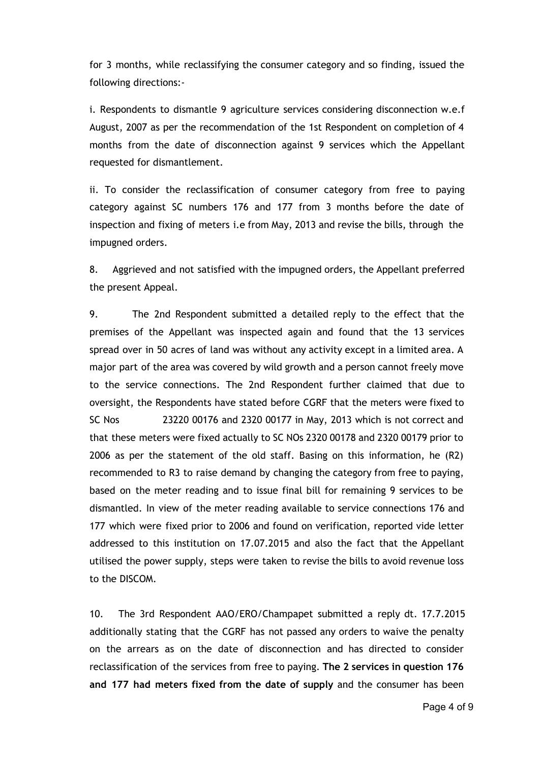for 3 months, while reclassifying the consumer category and so finding, issued the following directions:-

i. Respondents to dismantle 9 agriculture services considering disconnection w.e.f August, 2007 as per the recommendation of the 1st Respondent on completion of 4 months from the date of disconnection against 9 services which the Appellant requested for dismantlement.

ii. To consider the reclassification of consumer category from free to paying category against SC numbers 176 and 177 from 3 months before the date of inspection and fixing of meters i.e from May, 2013 and revise the bills, through the impugned orders.

8. Aggrieved and not satisfied with the impugned orders, the Appellant preferred the present Appeal.

9. The 2nd Respondent submitted a detailed reply to the effect that the premises of the Appellant was inspected again and found that the 13 services spread over in 50 acres of land was without any activity except in a limited area. A major part of the area was covered by wild growth and a person cannot freely move to the service connections. The 2nd Respondent further claimed that due to oversight, the Respondents have stated before CGRF that the meters were fixed to SC Nos 23220 00176 and 2320 00177 in May, 2013 which is not correct and that these meters were fixed actually to SC NOs 2320 00178 and 2320 00179 prior to 2006 as per the statement of the old staff. Basing on this information, he (R2) recommended to R3 to raise demand by changing the category from free to paying, based on the meter reading and to issue final bill for remaining 9 services to be dismantled. In view of the meter reading available to service connections 176 and 177 which were fixed prior to 2006 and found on verification, reported vide letter addressed to this institution on 17.07.2015 and also the fact that the Appellant utilised the power supply, steps were taken to revise the bills to avoid revenue loss to the DISCOM.

10. The 3rd Respondent AAO/ERO/Champapet submitted a reply dt. 17.7.2015 additionally stating that the CGRF has not passed any orders to waive the penalty on the arrears as on the date of disconnection and has directed to consider reclassification of the services from free to paying. **The 2 services in question 176 and 177 had meters fixed from the date of supply** and the consumer has been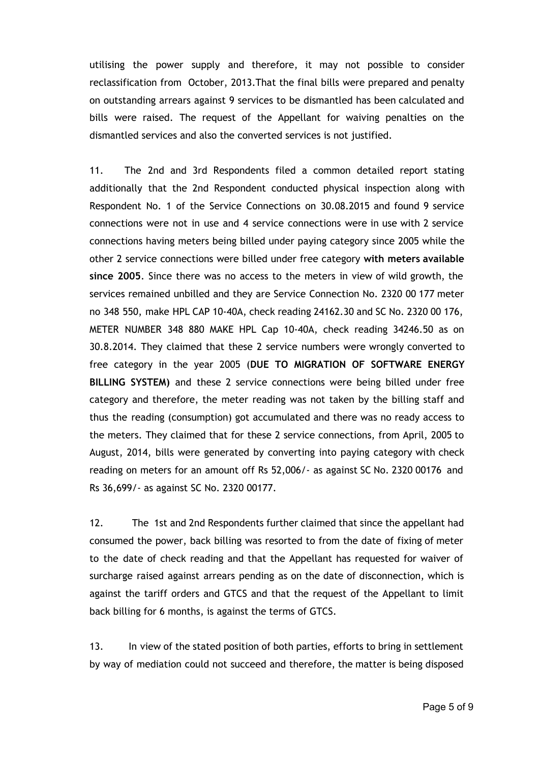utilising the power supply and therefore, it may not possible to consider reclassification from October, 2013.That the final bills were prepared and penalty on outstanding arrears against 9 services to be dismantled has been calculated and bills were raised. The request of the Appellant for waiving penalties on the dismantled services and also the converted services is not justified.

11. The 2nd and 3rd Respondents filed a common detailed report stating additionally that the 2nd Respondent conducted physical inspection along with Respondent No. 1 of the Service Connections on 30.08.2015 and found 9 service connections were not in use and 4 service connections were in use with 2 service connections having meters being billed under paying category since 2005 while the other 2 service connections were billed under free category **with meters available since 2005**. Since there was no access to the meters in view of wild growth, the services remained unbilled and they are Service Connection No. 2320 00 177 meter no 348 550, make HPL CAP 10-40A, check reading 24162.30 and SC No. 2320 00 176, METER NUMBER 348 880 MAKE HPL Cap 10-40A, check reading 34246.50 as on 30.8.2014. They claimed that these 2 service numbers were wrongly converted to free category in the year 2005 (**DUE TO MIGRATION OF SOFTWARE ENERGY BILLING SYSTEM)** and these 2 service connections were being billed under free category and therefore, the meter reading was not taken by the billing staff and thus the reading (consumption) got accumulated and there was no ready access to the meters. They claimed that for these 2 service connections, from April, 2005 to August, 2014, bills were generated by converting into paying category with check reading on meters for an amount off Rs 52,006/- as against SC No. 2320 00176 and Rs 36,699/- as against SC No. 2320 00177.

12. The 1st and 2nd Respondents further claimed that since the appellant had consumed the power, back billing was resorted to from the date of fixing of meter to the date of check reading and that the Appellant has requested for waiver of surcharge raised against arrears pending as on the date of disconnection, which is against the tariff orders and GTCS and that the request of the Appellant to limit back billing for 6 months, is against the terms of GTCS.

13. In view of the stated position of both parties, efforts to bring in settlement by way of mediation could not succeed and therefore, the matter is being disposed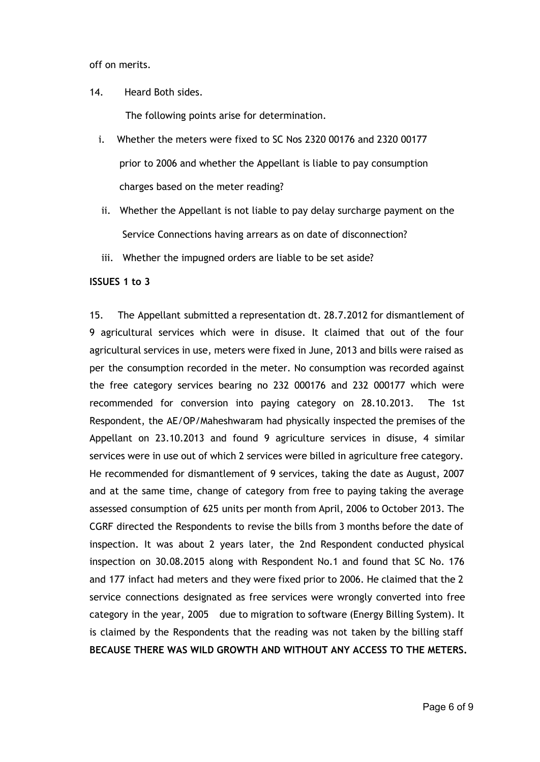off on merits.

14. Heard Both sides.

The following points arise for determination.

- i. Whether the meters were fixed to SC Nos 2320 00176 and 2320 00177 prior to 2006 and whether the Appellant is liable to pay consumption charges based on the meter reading?
- ii. Whether the Appellant is not liable to pay delay surcharge payment on the Service Connections having arrears as on date of disconnection?
- iii. Whether the impugned orders are liable to be set aside?

## **ISSUES 1 to 3**

15. The Appellant submitted a representation dt. 28.7.2012 for dismantlement of 9 agricultural services which were in disuse. It claimed that out of the four agricultural services in use, meters were fixed in June, 2013 and bills were raised as per the consumption recorded in the meter. No consumption was recorded against the free category services bearing no 232 000176 and 232 000177 which were recommended for conversion into paying category on 28.10.2013. The 1st Respondent, the AE/OP/Maheshwaram had physically inspected the premises of the Appellant on 23.10.2013 and found 9 agriculture services in disuse, 4 similar services were in use out of which 2 services were billed in agriculture free category. He recommended for dismantlement of 9 services, taking the date as August, 2007 and at the same time, change of category from free to paying taking the average assessed consumption of 625 units per month from April, 2006 to October 2013. The CGRF directed the Respondents to revise the bills from 3 months before the date of inspection. It was about 2 years later, the 2nd Respondent conducted physical inspection on 30.08.2015 along with Respondent No.1 and found that SC No. 176 and 177 infact had meters and they were fixed prior to 2006. He claimed that the 2 service connections designated as free services were wrongly converted into free category in the year, 2005 due to migration to software (Energy Billing System). It is claimed by the Respondents that the reading was not taken by the billing staff **BECAUSE THERE WAS WILD GROWTH AND WITHOUT ANY ACCESS TO THE METERS.**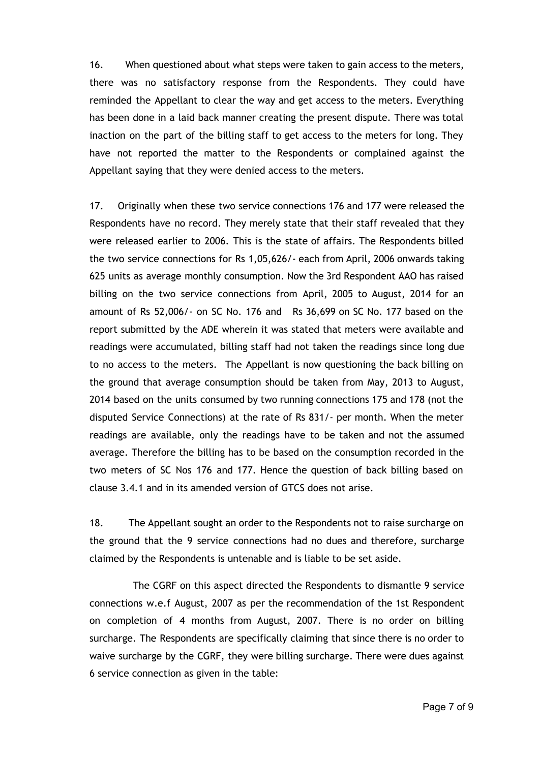16. When questioned about what steps were taken to gain access to the meters, there was no satisfactory response from the Respondents. They could have reminded the Appellant to clear the way and get access to the meters. Everything has been done in a laid back manner creating the present dispute. There was total inaction on the part of the billing staff to get access to the meters for long. They have not reported the matter to the Respondents or complained against the Appellant saying that they were denied access to the meters.

17. Originally when these two service connections 176 and 177 were released the Respondents have no record. They merely state that their staff revealed that they were released earlier to 2006. This is the state of affairs. The Respondents billed the two service connections for Rs 1,05,626/- each from April, 2006 onwards taking 625 units as average monthly consumption. Now the 3rd Respondent AAO has raised billing on the two service connections from April, 2005 to August, 2014 for an amount of Rs 52,006/- on SC No. 176 and Rs 36,699 on SC No. 177 based on the report submitted by the ADE wherein it was stated that meters were available and readings were accumulated, billing staff had not taken the readings since long due to no access to the meters. The Appellant is now questioning the back billing on the ground that average consumption should be taken from May, 2013 to August, 2014 based on the units consumed by two running connections 175 and 178 (not the disputed Service Connections) at the rate of Rs 831/- per month. When the meter readings are available, only the readings have to be taken and not the assumed average. Therefore the billing has to be based on the consumption recorded in the two meters of SC Nos 176 and 177. Hence the question of back billing based on clause 3.4.1 and in its amended version of GTCS does not arise.

18. The Appellant sought an order to the Respondents not to raise surcharge on the ground that the 9 service connections had no dues and therefore, surcharge claimed by the Respondents is untenable and is liable to be set aside.

The CGRF on this aspect directed the Respondents to dismantle 9 service connections w.e.f August, 2007 as per the recommendation of the 1st Respondent on completion of 4 months from August, 2007. There is no order on billing surcharge. The Respondents are specifically claiming that since there is no order to waive surcharge by the CGRF, they were billing surcharge. There were dues against 6 service connection as given in the table: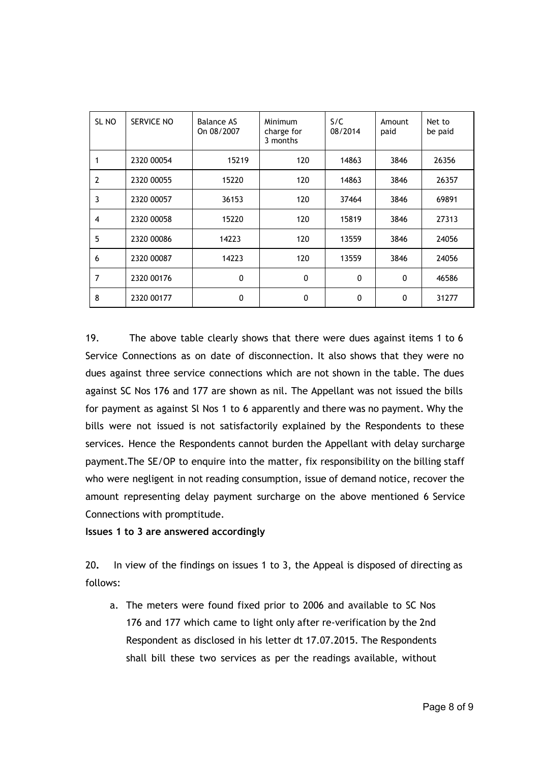| SL <sub>NO</sub> | <b>SERVICE NO</b> | <b>Balance AS</b><br>On 08/2007 | Minimum<br>charge for<br>3 months | S/C<br>08/2014 | Amount<br>paid | Net to<br>be paid |
|------------------|-------------------|---------------------------------|-----------------------------------|----------------|----------------|-------------------|
| 1                | 2320 00054        | 15219                           | 120                               | 14863          | 3846           | 26356             |
| $\overline{2}$   | 2320 00055        | 15220                           | 120                               | 14863          | 3846           | 26357             |
| 3                | 2320 00057        | 36153                           | 120                               | 37464          | 3846           | 69891             |
| $\overline{4}$   | 2320 00058        | 15220                           | 120                               | 15819          | 3846           | 27313             |
| 5                | 2320 00086        | 14223                           | 120                               | 13559          | 3846           | 24056             |
| 6                | 2320 00087        | 14223                           | 120                               | 13559          | 3846           | 24056             |
| 7                | 2320 00176        | $\mathbf{0}$                    | 0                                 | $\mathbf 0$    | $\mathbf{0}$   | 46586             |
| 8                | 2320 00177        | $\mathbf{0}$                    | 0                                 | 0              | 0              | 31277             |

19. The above table clearly shows that there were dues against items 1 to 6 Service Connections as on date of disconnection. It also shows that they were no dues against three service connections which are not shown in the table. The dues against SC Nos 176 and 177 are shown as nil. The Appellant was not issued the bills for payment as against Sl Nos 1 to 6 apparently and there was no payment. Why the bills were not issued is not satisfactorily explained by the Respondents to these services. Hence the Respondents cannot burden the Appellant with delay surcharge payment.The SE/OP to enquire into the matter, fix responsibility on the billing staff who were negligent in not reading consumption, issue of demand notice, recover the amount representing delay payment surcharge on the above mentioned 6 Service Connections with promptitude.

#### **Issues 1 to 3 are answered accordingly**

20**.** In view of the findings on issues 1 to 3, the Appeal is disposed of directing as follows:

a. The meters were found fixed prior to 2006 and available to SC Nos 176 and 177 which came to light only after re-verification by the 2nd Respondent as disclosed in his letter dt 17.07.2015. The Respondents shall bill these two services as per the readings available, without